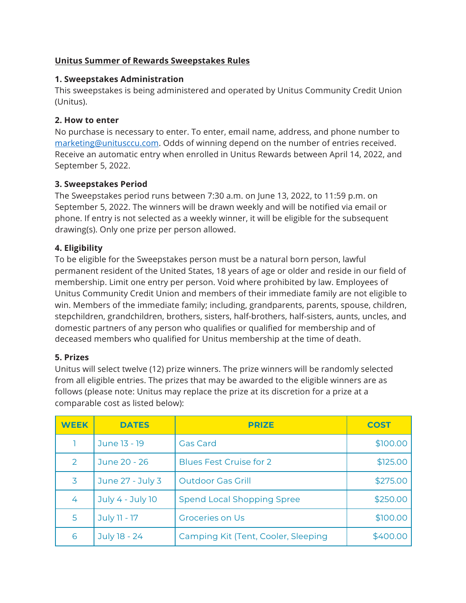## **Unitus Summer of Rewards Sweepstakes Rules**

### **1. Sweepstakes Administration**

This sweepstakes is being administered and operated by Unitus Community Credit Union (Unitus).

### **2. How to enter**

No purchase is necessary to enter. To enter, email name, address, and phone number to marketing@unitusccu.com. Odds of winning depend on the number of entries received. Receive an automatic entry when enrolled in Unitus Rewards between April 14, 2022, and September 5, 2022.

# **3. Sweepstakes Period**

The Sweepstakes period runs between 7:30 a.m. on June 13, 2022, to 11:59 p.m. on September 5, 2022. The winners will be drawn weekly and will be notified via email or phone. If entry is not selected as a weekly winner, it will be eligible for the subsequent drawing(s). Only one prize per person allowed.

## **4. Eligibility**

To be eligible for the Sweepstakes person must be a natural born person, lawful permanent resident of the United States, 18 years of age or older and reside in our field of membership. Limit one entry per person. Void where prohibited by law. Employees of Unitus Community Credit Union and members of their immediate family are not eligible to win. Members of the immediate family; including, grandparents, parents, spouse, children, stepchildren, grandchildren, brothers, sisters, half-brothers, half-sisters, aunts, uncles, and domestic partners of any person who qualifies or qualified for membership and of deceased members who qualified for Unitus membership at the time of death.

# **5. Prizes**

Unitus will select twelve (12) prize winners. The prize winners will be randomly selected from all eligible entries. The prizes that may be awarded to the eligible winners are as follows (please note: Unitus may replace the prize at its discretion for a prize at a comparable cost as listed below):

| <b>WEEK</b>   | <b>DATES</b>     | <b>PRIZE</b>                        | <b>COST</b> |
|---------------|------------------|-------------------------------------|-------------|
|               | June 13 - 19     | <b>Gas Card</b>                     | \$100.00    |
| $\mathcal{P}$ | June 20 - 26     | <b>Blues Fest Cruise for 2</b>      | \$125.00    |
| 3             | June 27 - July 3 | <b>Outdoor Gas Grill</b>            | \$275.00    |
| 4             | July 4 - July 10 | <b>Spend Local Shopping Spree</b>   | \$250.00    |
| 5.            | July 11 - 17     | <b>Groceries on Us</b>              | \$100.00    |
| 6             | July 18 - 24     | Camping Kit (Tent, Cooler, Sleeping | \$400.00    |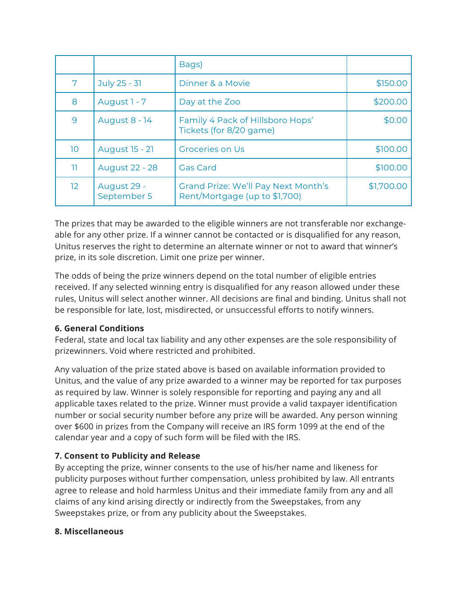|                 |                            | Bags)                                                                |            |
|-----------------|----------------------------|----------------------------------------------------------------------|------------|
| 7               | July 25 - 31               | Dinner & a Movie                                                     | \$150.00   |
| 8               | August 1 - 7               | Day at the Zoo                                                       | \$200.00   |
| 9               | <b>August 8 - 14</b>       | Family 4 Pack of Hillsboro Hops'<br>Tickets (for 8/20 game)          | \$0.00     |
| 10 <sup>°</sup> | <b>August 15 - 21</b>      | <b>Groceries on Us</b>                                               | \$100.00   |
| 11              | <b>August 22 - 28</b>      | <b>Gas Card</b>                                                      | \$100.00   |
| 12 <sup>2</sup> | August 29 -<br>September 5 | Grand Prize: We'll Pay Next Month's<br>Rent/Mortgage (up to \$1,700) | \$1,700.00 |

The prizes that may be awarded to the eligible winners are not transferable nor exchangeable for any other prize. If a winner cannot be contacted or is disqualified for any reason, Unitus reserves the right to determine an alternate winner or not to award that winner's prize, in its sole discretion. Limit one prize per winner.

The odds of being the prize winners depend on the total number of eligible entries received. If any selected winning entry is disqualified for any reason allowed under these rules, Unitus will select another winner. All decisions are final and binding. Unitus shall not be responsible for late, lost, misdirected, or unsuccessful efforts to notify winners.

### **6. General Conditions**

Federal, state and local tax liability and any other expenses are the sole responsibility of prizewinners. Void where restricted and prohibited.

Any valuation of the prize stated above is based on available information provided to Unitus, and the value of any prize awarded to a winner may be reported for tax purposes as required by law. Winner is solely responsible for reporting and paying any and all applicable taxes related to the prize. Winner must provide a valid taxpayer identification number or social security number before any prize will be awarded. Any person winning over \$600 in prizes from the Company will receive an IRS form 1099 at the end of the calendar year and a copy of such form will be filed with the IRS.

# **7. Consent to Publicity and Release**

By accepting the prize, winner consents to the use of his/her name and likeness for publicity purposes without further compensation, unless prohibited by law. All entrants agree to release and hold harmless Unitus and their immediate family from any and all claims of any kind arising directly or indirectly from the Sweepstakes, from any Sweepstakes prize, or from any publicity about the Sweepstakes.

### **8. Miscellaneous**